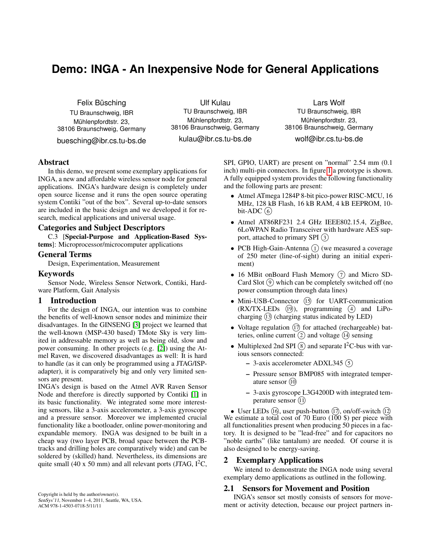# **Demo: INGA - An Inexpensive Node for General Applications**

Felix Büsching TU Braunschweig, IBR Mühlenpfordtstr. 23, 38106 Braunschweig, Germany

buesching@ibr.cs.tu-bs.de

Ulf Kulau TU Braunschweig, IBR Mühlenpfordtstr. 23, 38106 Braunschweig, Germany

kulau@ibr.cs.tu-bs.de

Lars Wolf TU Braunschweig, IBR Mühlenpfordtstr. 23, 38106 Braunschweig, Germany

wolf@ibr.cs.tu-bs.de

## Abstract

In this demo, we present some exemplary applications for INGA, a new and affordable wireless sensor node for general applications. INGA's hardware design is completely under open source license and it runs the open source operating system Contiki "out of the box". Several up-to-date sensors are included in the basic design and we developed it for research, medical applications and universal usage.

## Categories and Subject Descriptors

C.3 [Special-Purpose and Application-Based Systems]: Microprocessor/microcomputer applications

#### General Terms

Design, Experimentation, Measurement

#### Keywords

Sensor Node, Wireless Sensor Network, Contiki, Hardware Platform, Gait Analysis

#### 1 Introduction

For the design of INGA, our intention was to combine the benefits of well-known sensor nodes and minimize their disadvantages. In the GINSENG [\[3\]](#page-1-0) project we learned that the well-known (MSP-430 based) TMote Sky is very limited in addressable memory as well as being old, slow and power consuming. In other projects (e.g. [\[2\]](#page-1-1)) using the Atmel Raven, we discovered disadvantages as well: It is hard to handle (as it can only be programmed using a JTAG/ISPadapter), it is comparatively big and only very limited sensors are present.

INGA's design is based on the Atmel AVR Raven Sensor Node and therefore is directly supported by Contiki [\[1\]](#page-1-2) in its basic functionality. We integrated some more interesting sensors, like a 3-axis accelerometer, a 3-axis gyroscope and a pressure sensor. Moreover we implemented crucial functionality like a bootloader, online power-monitoring and expandable memory. INGA was designed to be built in a cheap way (two layer PCB, broad space between the PCBtracks and drilling holes are comparatively wide) and can be soldered by (skilled) hand. Nevertheless, its dimensions are quite small (40 x 50 mm) and all relevant ports (JTAG,  $I^2C$ ,

Copyright is held by the author/owner(s). SenSys'11, November 1–4, 2011, Seattle, WA, USA. ACM 978-1-4503-0718-5/11/11

SPI, GPIO, UART) are present on "normal" 2.54 mm (0.1 inch) multi-pin connectors. In figure [1](#page-1-3) a prototype is shown. A fully equipped system provides the following functionality and the following parts are present:

- Atmel ATmega 1284P 8-bit pico-power RISC-MCU, 16 MHz, 128 kB Flash, 16 kB RAM, 4 kB EEPROM, 10 bit-ADC $(6)$
- Atmel AT86RF231 2.4 GHz IEEE802.15.4, ZigBee, 6LoWPAN Radio Transceiver with hardware AES support, attached to primary SPI <sup>3</sup>
- PCB High-Gain-Antenna  $(1)$  (we measured a coverage of 250 meter (line-of-sight) during an initial experiment)
- 16 MBit onBoard Flash Memory  $(7)$  and Micro SD-Card Slot  $(9)$  which can be completely switched off (no power consumption through data lines)
- Mini-USB-Connector (15) for UART-communication  $(RX/TX-LEDs (19))$ , programming  $(4)$  and LiPocharging <sup>13</sup> (charging status indicated by LED)
- Voltage regulation  $(17)$  for attached (rechargeable) batteries, online current  $(2)$  and voltage  $(1)$  sensing
- Multiplexed 2nd SPI  $(\hat{s})$  and separate I<sup>2</sup>C-bus with various sensors connected:
	- 3-axis accelerometer ADXL345 <sup>5</sup>
	- Pressure sensor BMP085 with integrated temperature sensor <sup>10</sup>
	- 3-axis gyroscope L3G4200D with integrated temperature sensor (1)

• User LEDs  $(16)$ , user push-button  $(17)$ , on/off-switch  $(12)$ We estimate a total cost of 70 Euro  $(100 \text{ s})$  per piece with all functionalities present when producing 50 pieces in a factory. It is designed to be "lead-free" and for capacitors no "noble earths" (like tantalum) are needed. Of course it is also designed to be energy-saving.

## 2 Exemplary Applications

We intend to demonstrate the INGA node using several exemplary demo applications as outlined in the following.

#### 2.1 Sensors for Movement and Position

INGA's sensor set mostly consists of sensors for movement or activity detection, because our project partners in-